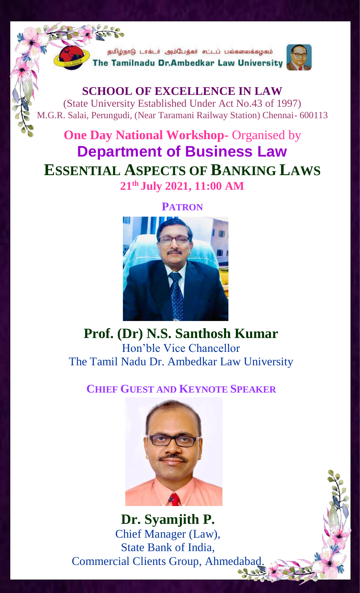.<br>தமிழ்நாடு டாக்டர் அம்பேத்கர் சட்டப் பல்கலைக்கழகம் he Tamilnadu Dr.Ambedkar Law University



**SCHOOL OF EXCELLENCE IN LAW** (State University Established Under Act No.43 of 1997) M.G.R. Salai, Perungudi, (Near Taramani Railway Station) Chennai- 600113

## **One Day National Workshop-** Organised by **Department of Business Law ESSENTIAL ASPECTS OF BANKING LAWS 21th July 2021, 11:00 AM**

## **PATRON**



**Prof. (Dr) N.S. Santhosh Kumar** Hon'ble Vice Chancellor The Tamil Nadu Dr. Ambedkar Law University

**CHIEF GUEST AND KEYNOTE SPEAKER**



**Dr. Syamjith P.** Chief Manager (Law), State Bank of India, Commercial Clients Group, Ahmedabad.